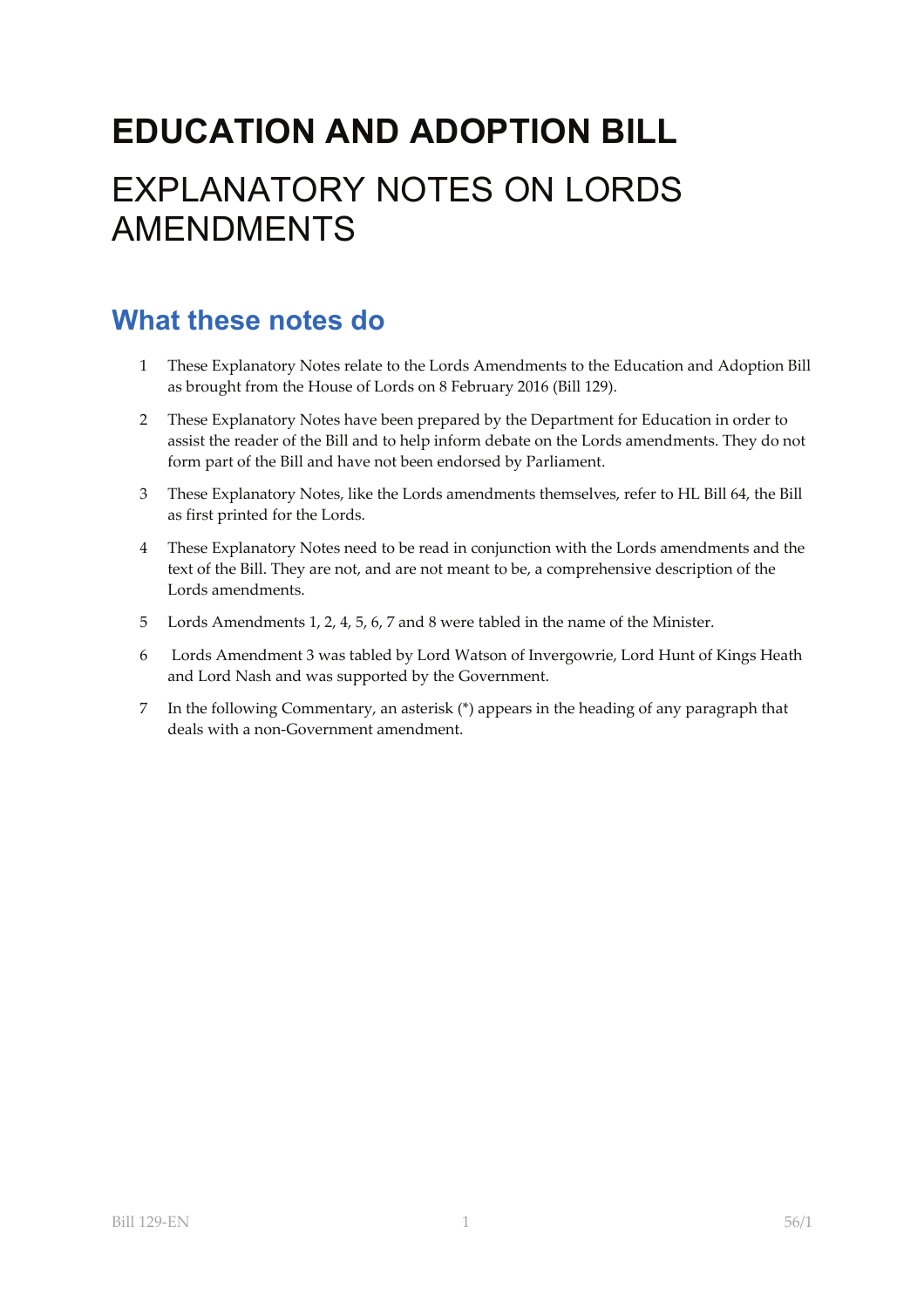# **EDUCATION AND ADOPTION BILL**  EXPLANATORY NOTES ON LORDS AMENDMENTS

# **What these notes do**

- 1 These Explanatory Notes relate to the Lords Amendments to the Education and Adoption Bill as brought from the House of Lords on 8 February 2016 (Bill 129).
- 2 These Explanatory Notes have been prepared by the Department for Education in order to assist the reader of the Bill and to help inform debate on the Lords amendments. They do not form part of the Bill and have not been endorsed by Parliament.
- 3 These Explanatory Notes, like the Lords amendments themselves, refer to HL Bill 64, the Bill as first printed for the Lords.
- 4 These Explanatory Notes need to be read in conjunction with the Lords amendments and the text of the Bill. They are not, and are not meant to be, a comprehensive description of the Lords amendments.
- 5 Lords Amendments 1, 2, 4, 5, 6, 7 and 8 were tabled in the name of the Minister.
- 6 Lords Amendment 3 was tabled by Lord Watson of Invergowrie, Lord Hunt of Kings Heath and Lord Nash and was supported by the Government.
- 7 In the following Commentary, an asterisk (\*) appears in the heading of any paragraph that deals with a non‐Government amendment.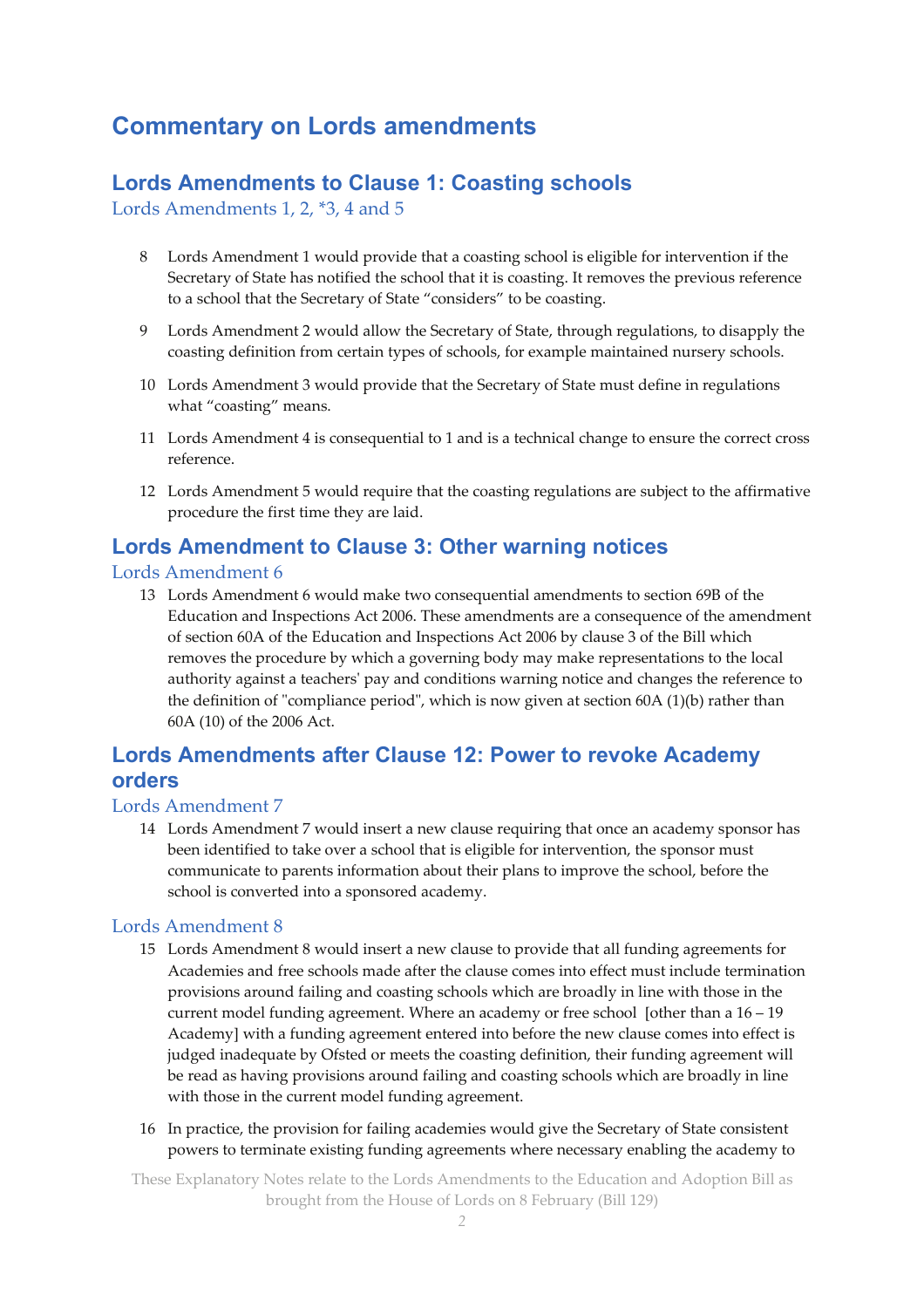## **Commentary on Lords amendments**

## **Lords Amendments to Clause 1: Coasting schools**

Lords Amendments 1, 2, \*3, 4 and 5

- 8 Lords Amendment 1 would provide that a coasting school is eligible for intervention if the Secretary of State has notified the school that it is coasting. It removes the previous reference to a school that the Secretary of State "considers" to be coasting.
- 9 Lords Amendment 2 would allow the Secretary of State, through regulations, to disapply the coasting definition from certain types of schools, for example maintained nursery schools.
- 10 Lords Amendment 3 would provide that the Secretary of State must define in regulations what "coasting" means.
- 11 Lords Amendment 4 is consequential to 1 and is a technical change to ensure the correct cross reference.
- 12 Lords Amendment 5 would require that the coasting regulations are subject to the affirmative procedure the first time they are laid.

### **Lords Amendment to Clause 3: Other warning notices**

#### Lords Amendment 6

13 Lords Amendment 6 would make two consequential amendments to section 69B of the Education and Inspections Act 2006. These amendments are a consequence of the amendment of section 60A of the Education and Inspections Act 2006 by clause 3 of the Bill which removes the procedure by which a governing body may make representations to the local authority against a teachersʹ pay and conditions warning notice and changes the reference to the definition of "compliance period", which is now given at section 60A (1)(b) rather than 60A (10) of the 2006 Act.

### **Lords Amendments after Clause 12: Power to revoke Academy orders**

#### Lords Amendment 7

14 Lords Amendment 7 would insert a new clause requiring that once an academy sponsor has been identified to take over a school that is eligible for intervention, the sponsor must communicate to parents information about their plans to improve the school, before the school is converted into a sponsored academy.

#### Lords Amendment 8

- 15 Lords Amendment 8 would insert a new clause to provide that all funding agreements for Academies and free schools made after the clause comes into effect must include termination provisions around failing and coasting schools which are broadly in line with those in the current model funding agreement. Where an academy or free school [other than a 16 – 19 Academy] with a funding agreement entered into before the new clause comes into effect is judged inadequate by Ofsted or meets the coasting definition, their funding agreement will be read as having provisions around failing and coasting schools which are broadly in line with those in the current model funding agreement.
- 16 In practice, the provision for failing academies would give the Secretary of State consistent powers to terminate existing funding agreements where necessary enabling the academy to

These Explanatory Notes relate to the Lords Amendments to the Education and Adoption Bill as brought from the House of Lords on 8 February (Bill 129)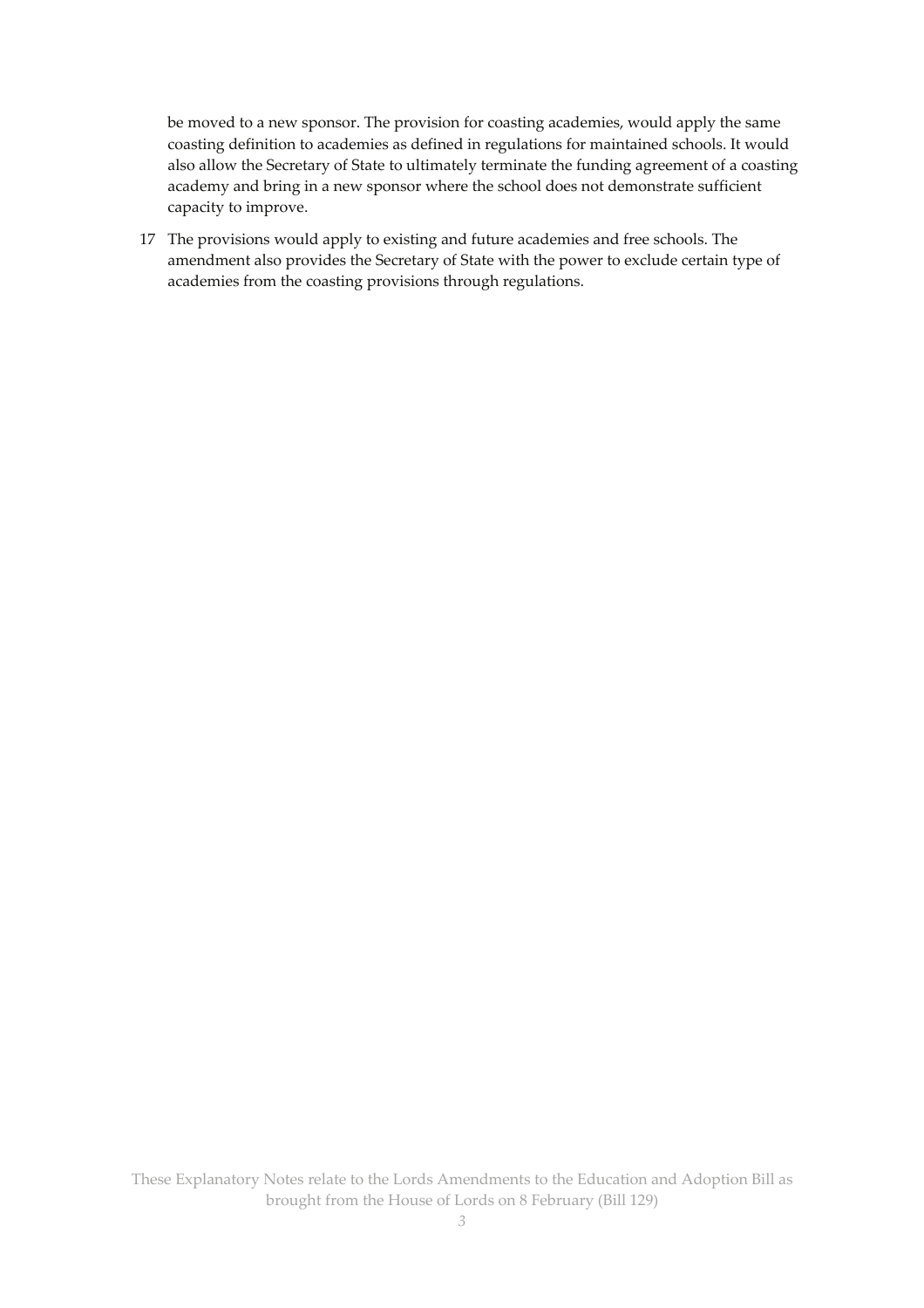be moved to a new sponsor. The provision for coasting academies, would apply the same coasting definition to academies as defined in regulations for maintained schools. It would also allow the Secretary of State to ultimately terminate the funding agreement of a coasting academy and bring in a new sponsor where the school does not demonstrate sufficient capacity to improve.

17 The provisions would apply to existing and future academies and free schools. The amendment also provides the Secretary of State with the power to exclude certain type of academies from the coasting provisions through regulations.